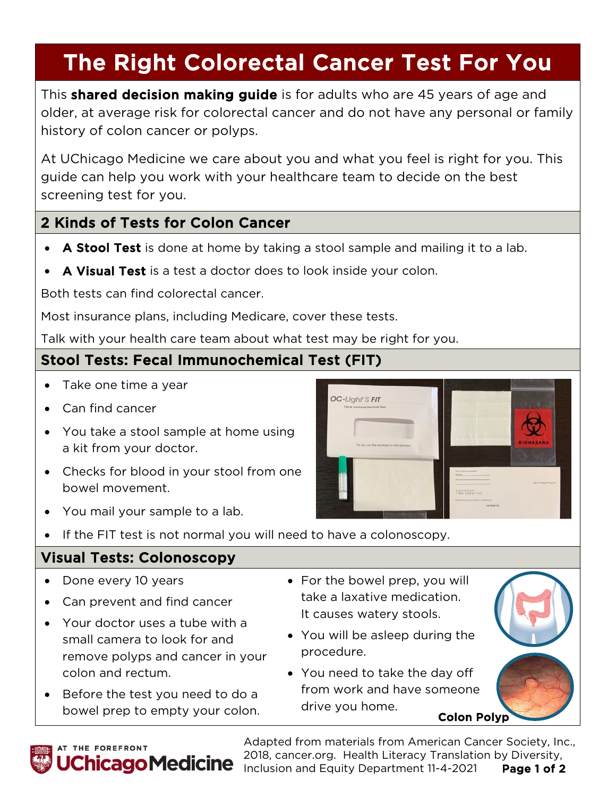# The Right Colorectal Cancer Test For You

This **shared decision making guide** is for adults who are 45 years of age and older, at average risk for colorectal cancer and do not have any personal or family history of colon cancer or polyps.

At UChicago Medicine we care about you and what you feel is right for you. This guide can help you work with your healthcare team to decide on the best screening test for you.

#### 2 Kinds of Tests for Colon Cancer

- A Stool Test is done at home by taking a stool sample and mailing it to a lab.
- A Visual Test is a test a doctor does to look inside your colon.

Both tests can find colorectal cancer.

Most insurance plans, including Medicare, cover these tests.

Talk with your health care team about what test may be right for you.

#### Stool Tests: Fecal Immunochemical Test (FIT)

- Take one time a year
- Can find cancer
- You take a stool sample at home using a kit from your doctor.
- Checks for blood in your stool from one bowel movement.
- You mail your sample to a lab.
- If the FIT test is not normal you will need to have a colonoscopy.

### Visual Tests: Colonoscopy

- Done every 10 years
- Can prevent and find cancer
- Your doctor uses a tube with a small camera to look for and remove polyps and cancer in your colon and rectum.
- Before the test you need to do a bowel prep to empty your colon.
- For the bowel prep, you will take a laxative medication. It causes watery stools.
- You will be asleep during the procedure.
- You need to take the day off from work and have someone drive you home.<br>**Colon Polyp**



Adapted from materials from American Cancer Society, Inc., 2018, cancer.org. Health Literacy Translation by Diversity, **hicago Medicine** Allo, Cancellory, Treater Electron, Treater Bills, 2021 Page 1 of 2